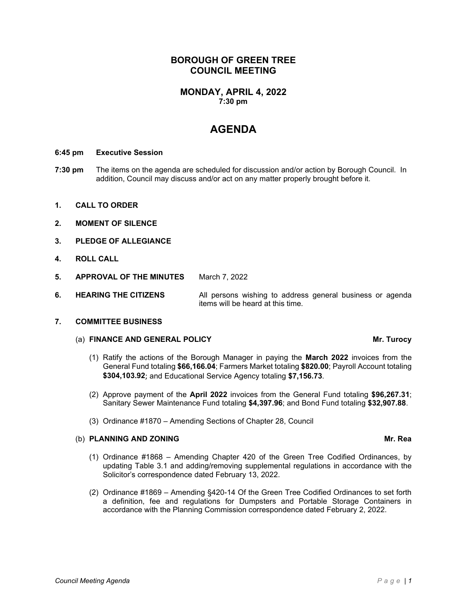# **BOROUGH OF GREEN TREE COUNCIL MEETING**

### **MONDAY, APRIL 4, 2022 7:30 pm**

# **AGENDA**

### **6:45 pm Executive Session**

- **7:30 pm** The items on the agenda are scheduled for discussion and/or action by Borough Council. In addition, Council may discuss and/or act on any matter properly brought before it.
- **1. CALL TO ORDER**
- **2. MOMENT OF SILENCE**
- **3. PLEDGE OF ALLEGIANCE**
- **4. ROLL CALL**
- **5. APPROVAL OF THE MINUTES** March 7, 2022
- **6. HEARING THE CITIZENS** All persons wishing to address general business or agenda items will be heard at this time.

### **7. COMMITTEE BUSINESS**

### (a) **FINANCE AND GENERAL POLICY Mr. Turocy**

- (1) Ratify the actions of the Borough Manager in paying the **March 2022** invoices from the General Fund totaling **\$66,166.04**; Farmers Market totaling **\$820.00**; Payroll Account totaling **\$304,103.92**; and Educational Service Agency totaling **\$7,156.73**.
- (2) Approve payment of the **April 2022** invoices from the General Fund totaling **\$96,267.31**; Sanitary Sewer Maintenance Fund totaling **\$4,397.96**; and Bond Fund totaling **\$32,907.88**.
- (3) Ordinance #1870 Amending Sections of Chapter 28, Council

### (b) **PLANNING AND ZONING Mr. Rea**

- (1) Ordinance #1868 Amending Chapter 420 of the Green Tree Codified Ordinances, by updating Table 3.1 and adding/removing supplemental regulations in accordance with the Solicitor's correspondence dated February 13, 2022.
- (2) Ordinance #1869 Amending §420-14 Of the Green Tree Codified Ordinances to set forth a definition, fee and regulations for Dumpsters and Portable Storage Containers in accordance with the Planning Commission correspondence dated February 2, 2022.